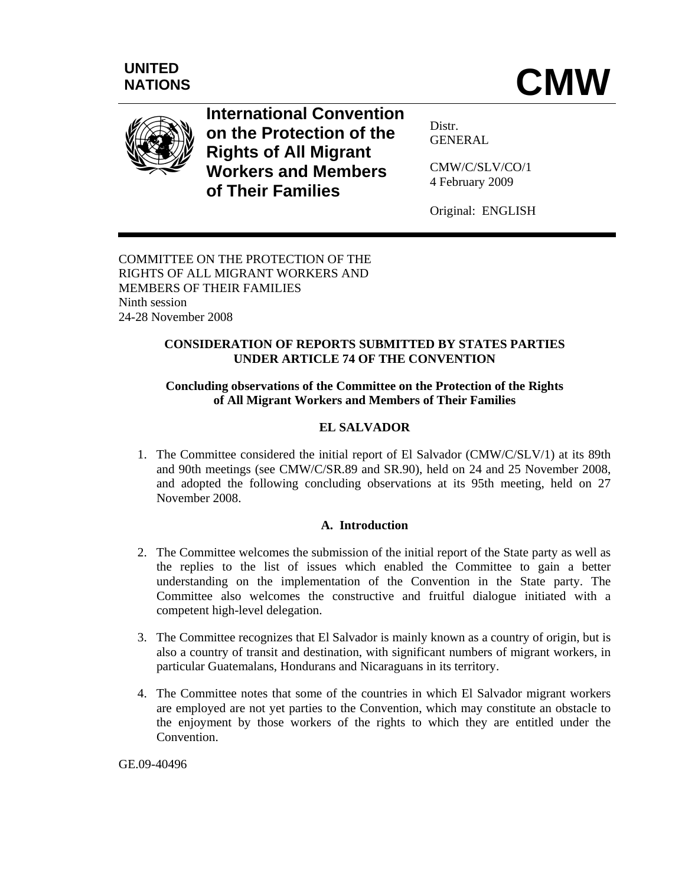

**International Convention on the Protection of the Rights of All Migrant Workers and Members of Their Families**

Distr. GENERAL

CMW/C/SLV/CO/1 4 February 2009

Original: ENGLISH

COMMITTEE ON THE PROTECTION OF THE RIGHTS OF ALL MIGRANT WORKERS AND MEMBERS OF THEIR FAMILIES Ninth session 24-28 November 2008

# **CONSIDERATION OF REPORTS SUBMITTED BY STATES PARTIES UNDER ARTICLE 74 OF THE CONVENTION**

# **Concluding observations of the Committee on the Protection of the Rights of All Migrant Workers and Members of Their Families**

# **EL SALVADOR**

1. The Committee considered the initial report of El Salvador (CMW/C/SLV/1) at its 89th and 90th meetings (see CMW/C/SR.89 and SR.90), held on 24 and 25 November 2008, and adopted the following concluding observations at its 95th meeting, held on 27 November 2008.

# **A. Introduction**

- 2. The Committee welcomes the submission of the initial report of the State party as well as the replies to the list of issues which enabled the Committee to gain a better understanding on the implementation of the Convention in the State party. The Committee also welcomes the constructive and fruitful dialogue initiated with a competent high-level delegation.
- 3. The Committee recognizes that El Salvador is mainly known as a country of origin, but is also a country of transit and destination, with significant numbers of migrant workers, in particular Guatemalans, Hondurans and Nicaraguans in its territory.
- 4. The Committee notes that some of the countries in which El Salvador migrant workers are employed are not yet parties to the Convention, which may constitute an obstacle to the enjoyment by those workers of the rights to which they are entitled under the Convention.

GE.09-40496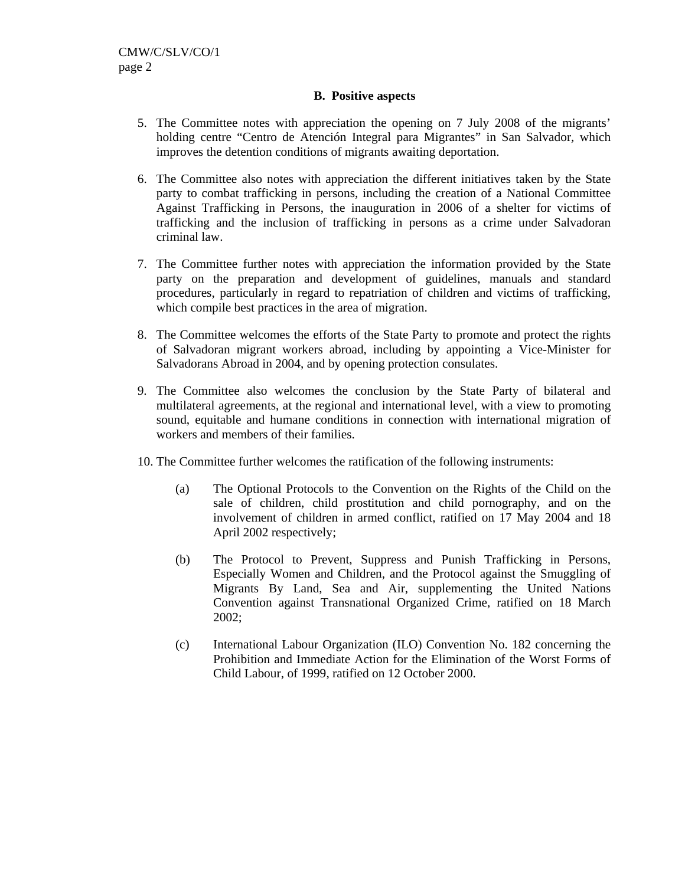## **B. Positive aspects**

- 5. The Committee notes with appreciation the opening on 7 July 2008 of the migrants' holding centre "Centro de Atención Integral para Migrantes" in San Salvador*,* which improves the detention conditions of migrants awaiting deportation.
- 6. The Committee also notes with appreciation the different initiatives taken by the State party to combat trafficking in persons, including the creation of a National Committee Against Trafficking in Persons, the inauguration in 2006 of a shelter for victims of trafficking and the inclusion of trafficking in persons as a crime under Salvadoran criminal law.
- 7. The Committee further notes with appreciation the information provided by the State party on the preparation and development of guidelines, manuals and standard procedures, particularly in regard to repatriation of children and victims of trafficking, which compile best practices in the area of migration.
- 8. The Committee welcomes the efforts of the State Party to promote and protect the rights of Salvadoran migrant workers abroad, including by appointing a Vice-Minister for Salvadorans Abroad in 2004, and by opening protection consulates.
- 9. The Committee also welcomes the conclusion by the State Party of bilateral and multilateral agreements, at the regional and international level, with a view to promoting sound, equitable and humane conditions in connection with international migration of workers and members of their families.
- 10. The Committee further welcomes the ratification of the following instruments:
	- (a) The Optional Protocols to the Convention on the Rights of the Child on the sale of children, child prostitution and child pornography, and on the involvement of children in armed conflict, ratified on 17 May 2004 and 18 April 2002 respectively;
	- (b) The Protocol to Prevent, Suppress and Punish Trafficking in Persons, Especially Women and Children, and the Protocol against the Smuggling of Migrants By Land, Sea and Air, supplementing the United Nations Convention against Transnational Organized Crime, ratified on 18 March 2002;
	- (c) International Labour Organization (ILO) Convention No. 182 concerning the Prohibition and Immediate Action for the Elimination of the Worst Forms of Child Labour, of 1999, ratified on 12 October 2000.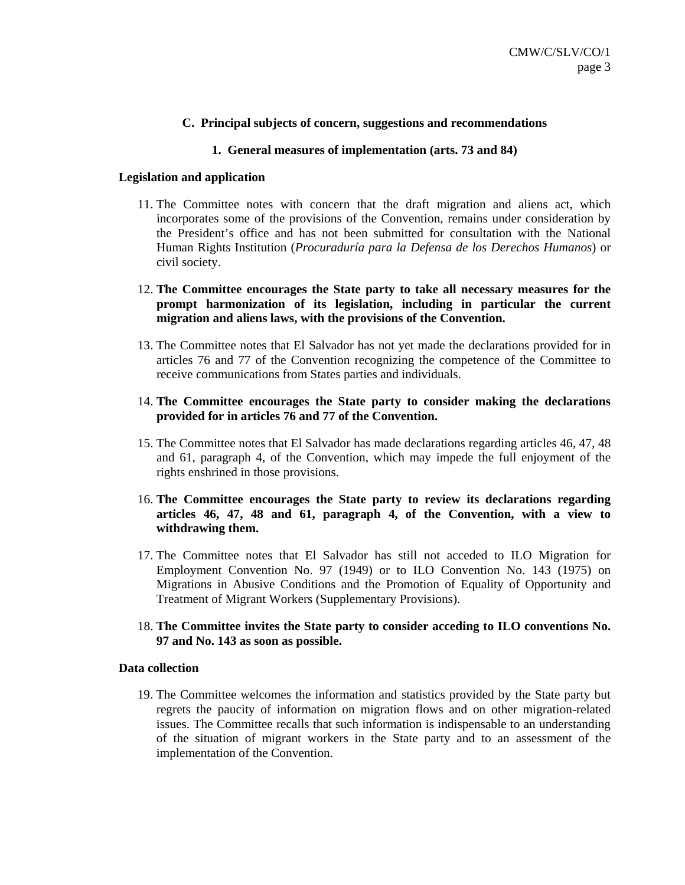# **C. Principal subjects of concern, suggestions and recommendations**

### **1. General measures of implementation (arts. 73 and 84)**

#### **Legislation and application**

- 11. The Committee notes with concern that the draft migration and aliens act, which incorporates some of the provisions of the Convention, remains under consideration by the President's office and has not been submitted for consultation with the National Human Rights Institution (*Procuraduría para la Defensa de los Derechos Humanos*) or civil society.
- 12. **The Committee encourages the State party to take all necessary measures for the prompt harmonization of its legislation, including in particular the current migration and aliens laws, with the provisions of the Convention.**
- 13. The Committee notes that El Salvador has not yet made the declarations provided for in articles 76 and 77 of the Convention recognizing the competence of the Committee to receive communications from States parties and individuals.

## 14. **The Committee encourages the State party to consider making the declarations provided for in articles 76 and 77 of the Convention.**

- 15. The Committee notes that El Salvador has made declarations regarding articles 46, 47, 48 and 61, paragraph 4, of the Convention, which may impede the full enjoyment of the rights enshrined in those provisions.
- 16. **The Committee encourages the State party to review its declarations regarding articles 46, 47, 48 and 61, paragraph 4, of the Convention, with a view to withdrawing them.**
- 17. The Committee notes that El Salvador has still not acceded to ILO Migration for Employment Convention No. 97 (1949) or to ILO Convention No. 143 (1975) on Migrations in Abusive Conditions and the Promotion of Equality of Opportunity and Treatment of Migrant Workers (Supplementary Provisions).
- 18. **The Committee invites the State party to consider acceding to ILO conventions No. 97 and No. 143 as soon as possible.**

#### **Data collection**

19. The Committee welcomes the information and statistics provided by the State party but regrets the paucity of information on migration flows and on other migration-related issues. The Committee recalls that such information is indispensable to an understanding of the situation of migrant workers in the State party and to an assessment of the implementation of the Convention.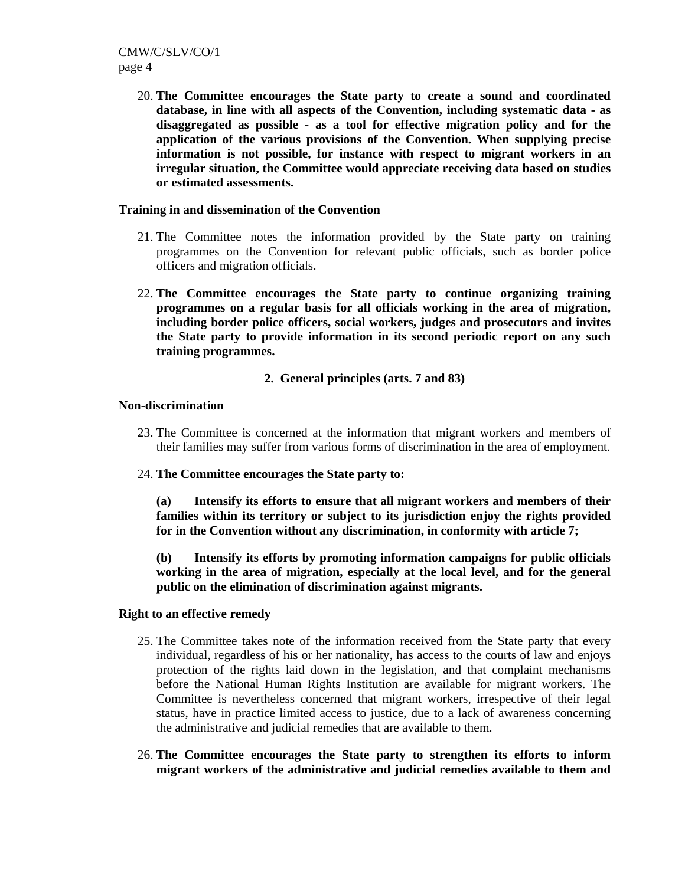20. **The Committee encourages the State party to create a sound and coordinated database, in line with all aspects of the Convention, including systematic data - as disaggregated as possible - as a tool for effective migration policy and for the application of the various provisions of the Convention. When supplying precise information is not possible, for instance with respect to migrant workers in an irregular situation, the Committee would appreciate receiving data based on studies or estimated assessments.**

### **Training in and dissemination of the Convention**

- 21. The Committee notes the information provided by the State party on training programmes on the Convention for relevant public officials, such as border police officers and migration officials.
- 22. **The Committee encourages the State party to continue organizing training programmes on a regular basis for all officials working in the area of migration, including border police officers, social workers, judges and prosecutors and invites the State party to provide information in its second periodic report on any such training programmes.**

## **2. General principles (arts. 7 and 83)**

#### **Non-discrimination**

- 23. The Committee is concerned at the information that migrant workers and members of their families may suffer from various forms of discrimination in the area of employment.
- 24. **The Committee encourages the State party to:**

**(a) Intensify its efforts to ensure that all migrant workers and members of their families within its territory or subject to its jurisdiction enjoy the rights provided for in the Convention without any discrimination, in conformity with article 7;**

**(b) Intensify its efforts by promoting information campaigns for public officials working in the area of migration, especially at the local level, and for the general public on the elimination of discrimination against migrants.** 

#### **Right to an effective remedy**

- 25. The Committee takes note of the information received from the State party that every individual, regardless of his or her nationality, has access to the courts of law and enjoys protection of the rights laid down in the legislation, and that complaint mechanisms before the National Human Rights Institution are available for migrant workers. The Committee is nevertheless concerned that migrant workers, irrespective of their legal status, have in practice limited access to justice, due to a lack of awareness concerning the administrative and judicial remedies that are available to them.
- 26. **The Committee encourages the State party to strengthen its efforts to inform migrant workers of the administrative and judicial remedies available to them and**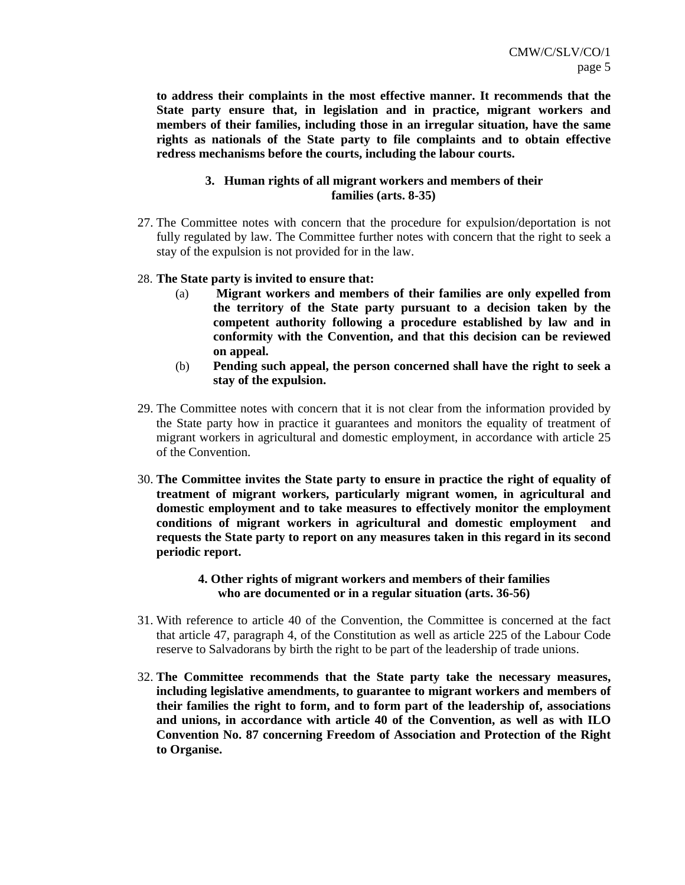**to address their complaints in the most effective manner. It recommends that the State party ensure that, in legislation and in practice, migrant workers and members of their families, including those in an irregular situation, have the same rights as nationals of the State party to file complaints and to obtain effective redress mechanisms before the courts, including the labour courts.** 

# **3. Human rights of all migrant workers and members of their families (arts. 8-35)**

27. The Committee notes with concern that the procedure for expulsion/deportation is not fully regulated by law. The Committee further notes with concern that the right to seek a stay of the expulsion is not provided for in the law.

## 28. **The State party is invited to ensure that:**

- (a) **Migrant workers and members of their families are only expelled from the territory of the State party pursuant to a decision taken by the competent authority following a procedure established by law and in conformity with the Convention, and that this decision can be reviewed on appeal.**
- (b) **Pending such appeal, the person concerned shall have the right to seek a stay of the expulsion.**
- 29. The Committee notes with concern that it is not clear from the information provided by the State party how in practice it guarantees and monitors the equality of treatment of migrant workers in agricultural and domestic employment, in accordance with article 25 of the Convention.
- 30. **The Committee invites the State party to ensure in practice the right of equality of treatment of migrant workers, particularly migrant women, in agricultural and domestic employment and to take measures to effectively monitor the employment conditions of migrant workers in agricultural and domestic employment and requests the State party to report on any measures taken in this regard in its second periodic report.**

# **4. Other rights of migrant workers and members of their families who are documented or in a regular situation (arts. 36-56)**

- 31. With reference to article 40 of the Convention, the Committee is concerned at the fact that article 47, paragraph 4, of the Constitution as well as article 225 of the Labour Code reserve to Salvadorans by birth the right to be part of the leadership of trade unions.
- 32. **The Committee recommends that the State party take the necessary measures, including legislative amendments, to guarantee to migrant workers and members of their families the right to form, and to form part of the leadership of, associations and unions, in accordance with article 40 of the Convention, as well as with ILO Convention No. 87 concerning Freedom of Association and Protection of the Right to Organise.**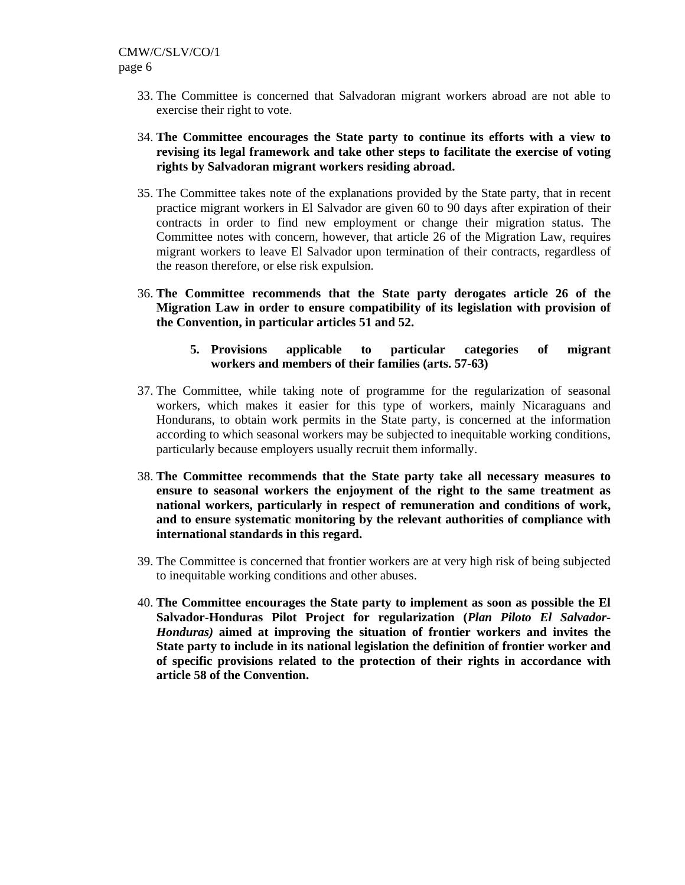- 33. The Committee is concerned that Salvadoran migrant workers abroad are not able to exercise their right to vote.
- 34. **The Committee encourages the State party to continue its efforts with a view to revising its legal framework and take other steps to facilitate the exercise of voting rights by Salvadoran migrant workers residing abroad.**
- 35. The Committee takes note of the explanations provided by the State party, that in recent practice migrant workers in El Salvador are given 60 to 90 days after expiration of their contracts in order to find new employment or change their migration status. The Committee notes with concern, however, that article 26 of the Migration Law, requires migrant workers to leave El Salvador upon termination of their contracts, regardless of the reason therefore, or else risk expulsion.
- 36. **The Committee recommends that the State party derogates article 26 of the Migration Law in order to ensure compatibility of its legislation with provision of the Convention, in particular articles 51 and 52.** 
	- **5. Provisions applicable to particular categories of migrant workers and members of their families (arts. 57-63)**
- 37. The Committee, while taking note of programme for the regularization of seasonal workers*,* which makes it easier for this type of workers, mainly Nicaraguans and Hondurans, to obtain work permits in the State party, is concerned at the information according to which seasonal workers may be subjected to inequitable working conditions, particularly because employers usually recruit them informally.
- 38. **The Committee recommends that the State party take all necessary measures to ensure to seasonal workers the enjoyment of the right to the same treatment as national workers, particularly in respect of remuneration and conditions of work, and to ensure systematic monitoring by the relevant authorities of compliance with international standards in this regard.**
- 39. The Committee is concerned that frontier workers are at very high risk of being subjected to inequitable working conditions and other abuses.
- 40. **The Committee encourages the State party to implement as soon as possible the El Salvador-Honduras Pilot Project for regularization (***Plan Piloto El Salvador-Honduras)* **aimed at improving the situation of frontier workers and invites the State party to include in its national legislation the definition of frontier worker and of specific provisions related to the protection of their rights in accordance with article 58 of the Convention.**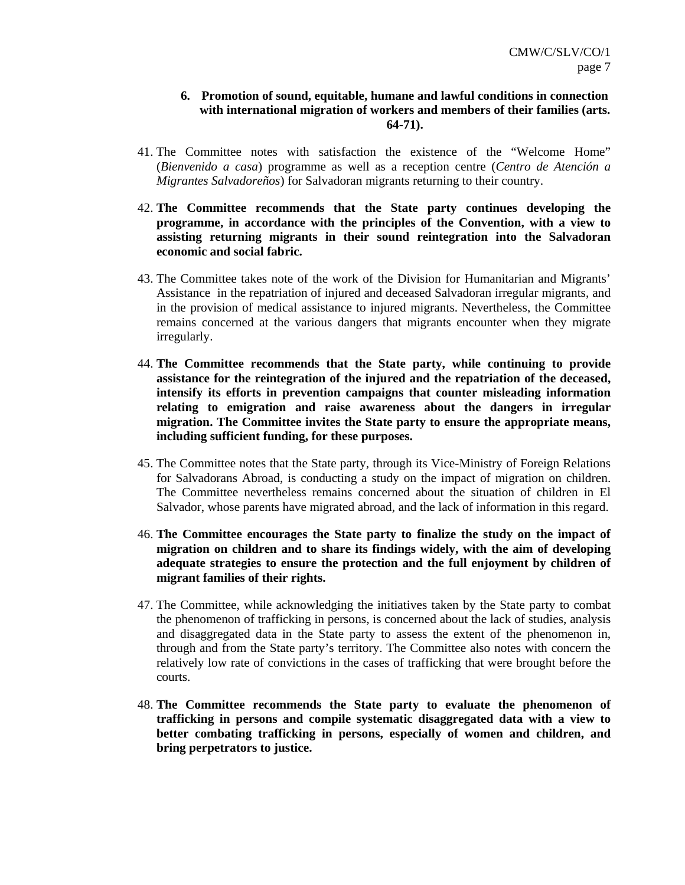# **6. Promotion of sound, equitable, humane and lawful conditions in connection with international migration of workers and members of their families (arts. 64-71).**

- 41. The Committee notes with satisfaction the existence of the "Welcome Home" (*Bienvenido a casa*) programme as well as a reception centre (*Centro de Atención a Migrantes Salvadoreños*) for Salvadoran migrants returning to their country.
- 42. **The Committee recommends that the State party continues developing the programme, in accordance with the principles of the Convention, with a view to assisting returning migrants in their sound reintegration into the Salvadoran economic and social fabric.**
- 43. The Committee takes note of the work of the Division for Humanitarian and Migrants' Assistance in the repatriation of injured and deceased Salvadoran irregular migrants, and in the provision of medical assistance to injured migrants. Nevertheless, the Committee remains concerned at the various dangers that migrants encounter when they migrate irregularly.
- 44. **The Committee recommends that the State party, while continuing to provide assistance for the reintegration of the injured and the repatriation of the deceased, intensify its efforts in prevention campaigns that counter misleading information relating to emigration and raise awareness about the dangers in irregular migration. The Committee invites the State party to ensure the appropriate means, including sufficient funding, for these purposes.**
- 45. The Committee notes that the State party, through its Vice-Ministry of Foreign Relations for Salvadorans Abroad, is conducting a study on the impact of migration on children. The Committee nevertheless remains concerned about the situation of children in El Salvador, whose parents have migrated abroad, and the lack of information in this regard.
- 46. **The Committee encourages the State party to finalize the study on the impact of migration on children and to share its findings widely, with the aim of developing adequate strategies to ensure the protection and the full enjoyment by children of migrant families of their rights.**
- 47. The Committee, while acknowledging the initiatives taken by the State party to combat the phenomenon of trafficking in persons, is concerned about the lack of studies, analysis and disaggregated data in the State party to assess the extent of the phenomenon in, through and from the State party's territory. The Committee also notes with concern the relatively low rate of convictions in the cases of trafficking that were brought before the courts.
- 48. **The Committee recommends the State party to evaluate the phenomenon of trafficking in persons and compile systematic disaggregated data with a view to better combating trafficking in persons, especially of women and children, and bring perpetrators to justice.**